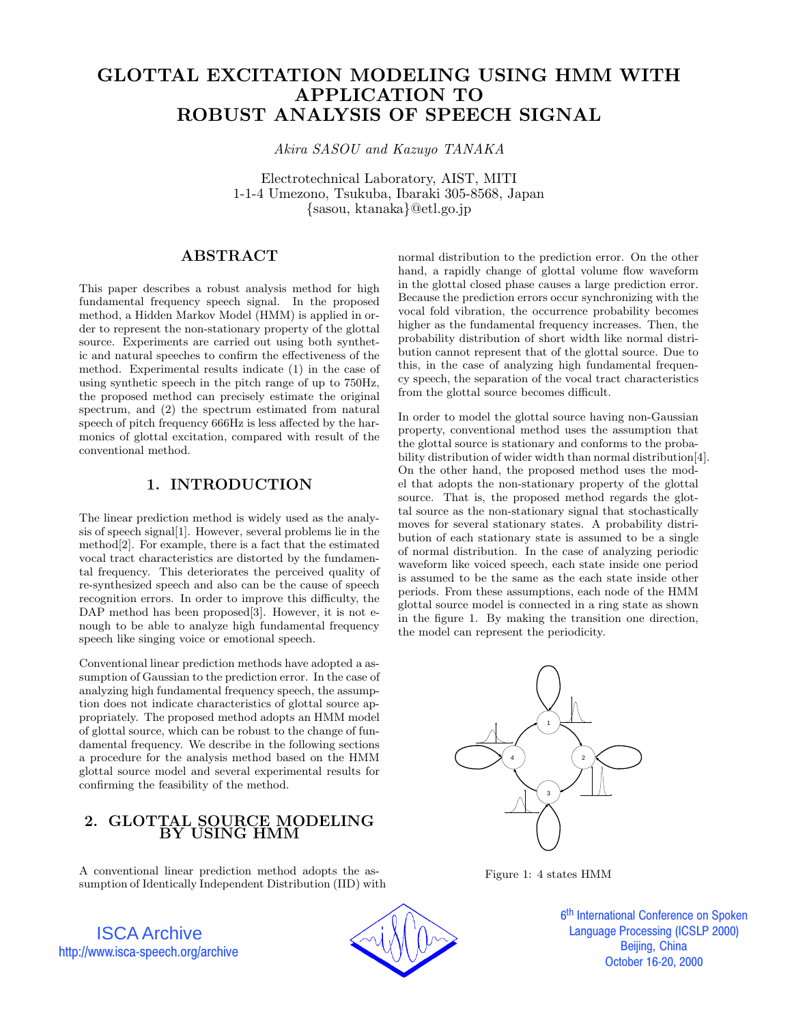# **GLOTTAL EXCITATION MODELING USING HMM WITH APPLICATION TO ROBUST ANALYSIS OF SPEECH SIGNAL**

Akira SASOU and Kazuyo TANAKA

Electrotechnical Laboratory, AIST, MITI 1-1-4 Umezono, Tsukuba, Ibaraki 305-8568, Japan {sasou, ktanaka}@etl.go.jp

# **ABSTRACT**

This paper describes a robust analysis method for high fundamental frequency speech signal. In the proposed method, a Hidden Markov Model (HMM) is applied in order to represent the non-stationary property of the glottal source. Experiments are carried out using both synthetic and natural speeches to confirm the effectiveness of the method. Experimental results indicate (1) in the case of using synthetic speech in the pitch range of up to 750Hz, the proposed method can precisely estimate the original spectrum, and (2) the spectrum estimated from natural speech of pitch frequency 666Hz is less affected by the harmonics of glottal excitation, compared with result of the conventional method.

# **1. INTRODUCTION**

The linear prediction method is widely used as the analysis of speech signal[1]. However, several problems lie in the method[2]. For example, there is a fact that the estimated vocal tract characteristics are distorted by the fundamental frequency. This deteriorates the perceived quality of re-synthesized speech and also can be the cause of speech recognition errors. In order to improve this difficulty, the DAP method has been proposed[3]. However, it is not enough to be able to analyze high fundamental frequency speech like singing voice or emotional speech.

Conventional linear prediction methods have adopted a assumption of Gaussian to the prediction error. In the case of analyzing high fundamental frequency speech, the assumption does not indicate characteristics of glottal source appropriately. The proposed method adopts an HMM model of glottal source, which can be robust to the change of fundamental frequency. We describe in the following sections a procedure for the analysis method based on the HMM glottal source model and several experimental results for confirming the feasibility of the method.

## **2. GLOTTAL SOURCE MODELING BY USING HMM**

A conventional linear prediction method adopts the assumption of Identically Independent Distribution (IID) with normal distribution to the prediction error. On the other hand, a rapidly change of glottal volume flow waveform in the glottal closed phase causes a large prediction error. Because the prediction errors occur synchronizing with the vocal fold vibration, the occurrence probability becomes higher as the fundamental frequency increases. Then, the probability distribution of short width like normal distribution cannot represent that of the glottal source. Due to this, in the case of analyzing high fundamental frequency speech, the separation of the vocal tract characteristics from the glottal source becomes difficult.

In order to model the glottal source having non-Gaussian property, conventional method uses the assumption that the glottal source is stationary and conforms to the probability distribution of wider width than normal distribution[4]. On the other hand, the proposed method uses the model that adopts the non-stationary property of the glottal source. That is, the proposed method regards the glottal source as the non-stationary signal that stochastically moves for several stationary states. A probability distribution of each stationary state is assumed to be a single of normal distribution. In the case of analyzing periodic waveform like voiced speech, each state inside one period is assumed to be the same as the each state inside other periods. From these assumptions, each node of the HMM glottal source model is connected in a ring state as shown in the figure 1. By making the transition one direction, the model can represent the periodicity.



Figure 1: 4 states HMM

ISCA Archive http://www.isca-speech.org/archive



6<sup>th</sup> International Conference on Spoken j **Language Processing (ICSLP 2000)** Beijing, China October 16-20, 2000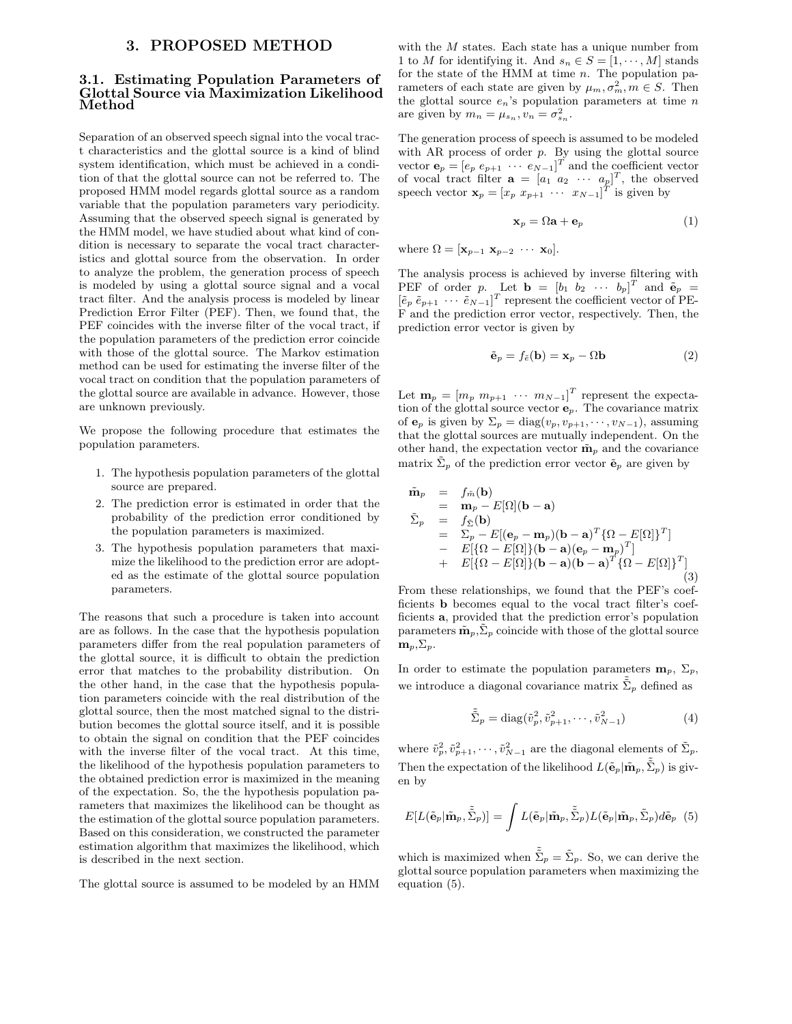#### **3. PROPOSED METHOD**

#### **3.1. Estimating Population Parameters of Glottal Source via Maximization Likelihood Method**

Separation of an observed speech signal into the vocal tract characteristics and the glottal source is a kind of blind system identification, which must be achieved in a condition of that the glottal source can not be referred to. The proposed HMM model regards glottal source as a random variable that the population parameters vary periodicity. Assuming that the observed speech signal is generated by the HMM model, we have studied about what kind of condition is necessary to separate the vocal tract characteristics and glottal source from the observation. In order to analyze the problem, the generation process of speech is modeled by using a glottal source signal and a vocal tract filter. And the analysis process is modeled by linear Prediction Error Filter (PEF). Then, we found that, the PEF coincides with the inverse filter of the vocal tract, if the population parameters of the prediction error coincide with those of the glottal source. The Markov estimation method can be used for estimating the inverse filter of the vocal tract on condition that the population parameters of the glottal source are available in advance. However, those are unknown previously.

We propose the following procedure that estimates the population parameters.

- 1. The hypothesis population parameters of the glottal source are prepared.
- 2. The prediction error is estimated in order that the probability of the prediction error conditioned by the population parameters is maximized.
- 3. The hypothesis population parameters that maximize the likelihood to the prediction error are adopted as the estimate of the glottal source population parameters.

The reasons that such a procedure is taken into account are as follows. In the case that the hypothesis population parameters differ from the real population parameters of the glottal source, it is difficult to obtain the prediction error that matches to the probability distribution. On the other hand, in the case that the hypothesis population parameters coincide with the real distribution of the glottal source, then the most matched signal to the distribution becomes the glottal source itself, and it is possible to obtain the signal on condition that the PEF coincides with the inverse filter of the vocal tract. At this time, the likelihood of the hypothesis population parameters to the obtained prediction error is maximized in the meaning of the expectation. So, the the hypothesis population parameters that maximizes the likelihood can be thought as the estimation of the glottal source population parameters. Based on this consideration, we constructed the parameter estimation algorithm that maximizes the likelihood, which is described in the next section.

The glottal source is assumed to be modeled by an HMM

with the M states. Each state has a unique number from 1 to M for identifying it. And  $s_n \in S = [1, \cdots, M]$  stands for the state of the HMM at time  $n$ . The population parameters of each state are given by  $\mu_m, \sigma_m^2, m \in S$ . Then the glottal source  $e_n$ 's population parameters at time n are given by  $m_n = \mu_{s_n}, \nu_n = \sigma_{s_n}^2$ .

The generation process of speech is assumed to be modeled with AR process of order  $p$ . By using the glottal source vector  $\mathbf{e}_p = \begin{bmatrix} e_p & e_{p+1} & \cdots & e_{N-1} \end{bmatrix}^T$  and the coefficient vector of vocal tract filter  $\mathbf{a} = \begin{bmatrix} a_1 & a_2 & \cdots & a_p \end{bmatrix}^T$ , the observed speech vector  $\mathbf{x}_p = \begin{bmatrix} x_p & x_{p+1} & \cdots & x_{N-1} \end{bmatrix}^T$  is given by

$$
\mathbf{x}_p = \Omega \mathbf{a} + \mathbf{e}_p \tag{1}
$$

where  $\Omega = [\mathbf{x}_{p-1} \ \mathbf{x}_{p-2} \ \cdots \ \mathbf{x}_0].$ 

The analysis process is achieved by inverse filtering with PEF of order p. Let  $\mathbf{b} = \begin{bmatrix} b_1 & b_2 & \cdots & b_p \end{bmatrix}^T$  and  $\tilde{\mathbf{e}}_p =$  $[\tilde{e}_p \ \tilde{e}_{p+1} \ \cdots \ \tilde{e}_{N-1}]^T$  represent the coefficient vector of PE-F and the prediction error vector, respectively. Then, the prediction error vector is given by

$$
\tilde{\mathbf{e}}_p = f_{\tilde{e}}(\mathbf{b}) = \mathbf{x}_p - \Omega \mathbf{b}
$$
 (2)

Let  $\mathbf{m}_p = [m_p \ m_{p+1} \ \cdots \ m_{N-1}]^T$  represent the expectation of the glottal source vector **e**p. The covariance matrix of **e**<sub>p</sub> is given by  $\Sigma_p = \text{diag}(v_p, v_{p+1}, \dots, v_{N-1})$ , assuming that the glottal sources are mutually independent. On the other hand, the expectation vector  $\tilde{\mathbf{m}}_p$  and the covariance matrix  $\Sigma_p$  of the prediction error vector  $\tilde{\mathbf{e}}_p$  are given by

$$
\tilde{\mathbf{m}}_p = f_{\tilde{m}}(\mathbf{b}) \n= \mathbf{m}_p - E[\Omega](\mathbf{b} - \mathbf{a}) \n\tilde{\Sigma}_p = f_{\tilde{\Sigma}}(\mathbf{b}) \n= \Sigma_p - E[(\mathbf{e}_p - \mathbf{m}_p)(\mathbf{b} - \mathbf{a})^T {\Omega - E[\Omega]}^T] \n- E[{{\Omega - E[\Omega]} (\mathbf{b} - \mathbf{a})(\mathbf{e}_p - \mathbf{m}_p)^T] \n+ E[{{\Omega - E[\Omega]} (\mathbf{b} - \mathbf{a})(\mathbf{b} - \mathbf{a})^T {\Omega - E[\Omega]}^T] \n(3)
$$

From these relationships, we found that the PEF's coefficients **b** becomes equal to the vocal tract filter's coefficients **a**, provided that the prediction error's population parameters  $\tilde{\mathbf{m}}_p$ ,  $\tilde{\Sigma}_p$  coincide with those of the glottal source  $\mathbf{m}_p, \Sigma_p$ .

In order to estimate the population parameters  $\mathbf{m}_p$ ,  $\Sigma_p$ , we introduce a diagonal covariance matrix  $\tilde{\tilde{\Sigma}}_p$  defined as

$$
\tilde{\tilde{\Sigma}}_p = \text{diag}(\tilde{v}_p^2, \tilde{v}_{p+1}^2, \cdots, \tilde{v}_{N-1}^2)
$$
\n(4)

where  $\tilde{v}_p^2, \tilde{v}_{p+1}^2, \cdots, \tilde{v}_{N-1}^2$  are the diagonal elements of  $\tilde{\Sigma}_p$ . Then the expectation of the likelihood  $L(\tilde{\mathbf{e}}_p | \tilde{\mathbf{m}}_p, \tilde{\tilde{\Sigma}}_p)$  is given by

$$
E[L(\tilde{\mathbf{e}}_p | \tilde{\mathbf{m}}_p, \tilde{\tilde{\Sigma}}_p)] = \int L(\tilde{\mathbf{e}}_p | \tilde{\mathbf{m}}_p, \tilde{\tilde{\Sigma}}_p) L(\tilde{\mathbf{e}}_p | \tilde{\mathbf{m}}_p, \tilde{\Sigma}_p) d\tilde{\mathbf{e}}_p \tag{5}
$$

which is maximized when  $\tilde{\tilde{\Sigma}}_p = \tilde{\Sigma}_p$ . So, we can derive the glottal source population parameters when maximizing the equation (5).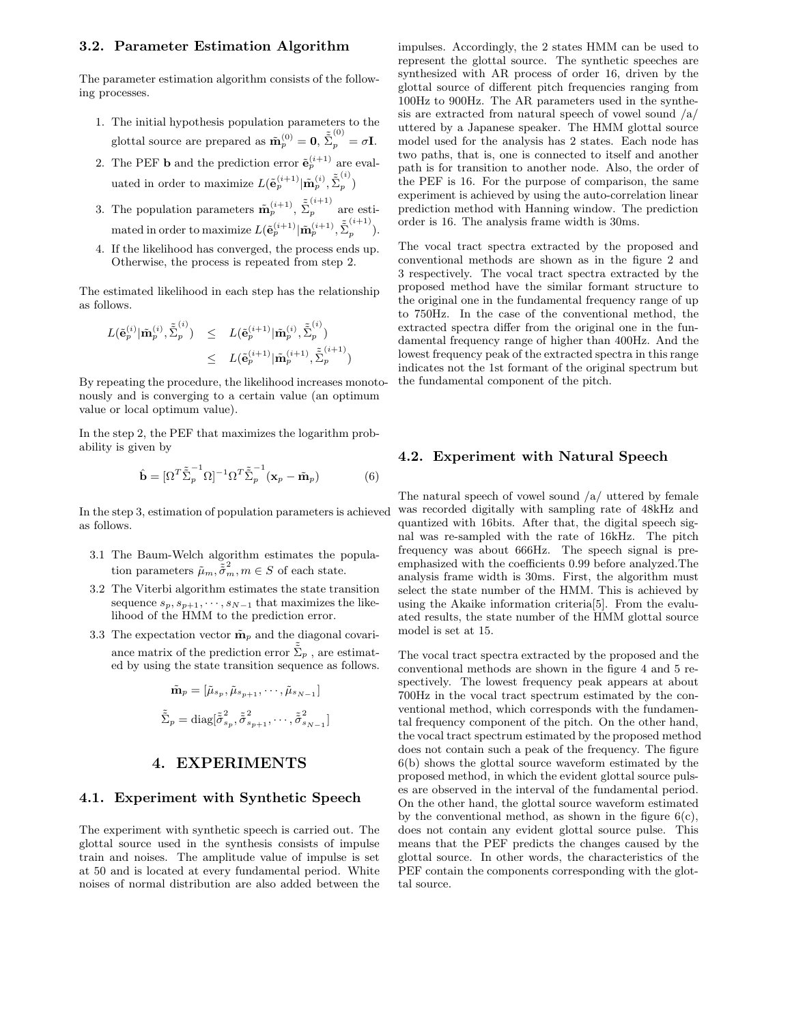#### **3.2. Parameter Estimation Algorithm**

The parameter estimation algorithm consists of the following processes.

- 1. The initial hypothesis population parameters to the glottal source are prepared as  $\tilde{\mathbf{m}}_p^{(0)} = \mathbf{0}, \tilde{\Sigma}_p^{(0)} = \sigma \mathbf{I}$ .
- 2. The PEF **b** and the prediction error  $\tilde{\mathbf{e}}_p^{(i+1)}$  are evaluated in order to maximize  $L(\tilde{\mathbf{e}}_p^{(i+1)} | \tilde{\mathbf{m}}_p^{(i)}, \tilde{\tilde{\Sigma}}_p^{(i)})$
- 3. The population parameters  $\tilde{\mathbf{m}}_p^{(i+1)}$ ,  $\tilde{\Sigma}_p^{(i+1)}$  are esti- $\text{mated in order to maximize } L(\tilde{\mathbf{e}}_p^{(i+1)} | \tilde{\mathbf{m}}_p^{(i+1)}, \tilde{\tilde{\Sigma}}_p^{(i+1)}).$
- 4. If the likelihood has converged, the process ends up. Otherwise, the process is repeated from step 2.

The estimated likelihood in each step has the relationship as follows.

$$
L(\tilde{\mathbf{e}}_p^{(i)} | \tilde{\mathbf{m}}_p^{(i)}, \tilde{\tilde{\Sigma}}_p^{(i)}) \leq L(\tilde{\mathbf{e}}_p^{(i+1)} | \tilde{\mathbf{m}}_p^{(i)}, \tilde{\tilde{\Sigma}}_p^{(i)})
$$
  

$$
\leq L(\tilde{\mathbf{e}}_p^{(i+1)} | \tilde{\mathbf{m}}_p^{(i+1)}, \tilde{\tilde{\Sigma}}_p^{(i+1)})
$$

By repeating the procedure, the likelihood increases monotonously and is converging to a certain value (an optimum value or local optimum value).

In the step 2, the PEF that maximizes the logarithm probability is given by

$$
\hat{\mathbf{b}} = [\Omega^T \tilde{\tilde{\Sigma}}_p^{-1} \Omega]^{-1} \Omega^T \tilde{\tilde{\Sigma}}_p^{-1} (\mathbf{x}_p - \tilde{\mathbf{m}}_p)
$$
(6)

In the step 3, estimation of population parameters is achieved as follows.

- 3.1 The Baum-Welch algorithm estimates the population parameters  $\tilde{\mu}_m$ ,  $\tilde{\tilde{\sigma}}_m^2$ ,  $m \in S$  of each state.
- 3.2 The Viterbi algorithm estimates the state transition sequence  $s_p, s_{p+1}, \cdots, s_{N-1}$  that maximizes the likelihood of the HMM to the prediction error.
- 3.3 The expectation vector  $\tilde{\mathbf{m}}_p$  and the diagonal covariance matrix of the prediction error  $\tilde{\tilde{\Sigma}}_p$  , are estimated by using the state transition sequence as follows.

$$
\tilde{\mathbf{m}}_p = [\tilde{\mu}_{s_p}, \tilde{\mu}_{s_{p+1}}, \cdots, \tilde{\mu}_{s_{N-1}}]
$$

$$
\tilde{\tilde{\Sigma}}_p = \text{diag}[\tilde{\tilde{\sigma}}_{s_p}^2, \tilde{\tilde{\sigma}}_{s_{p+1}}^2, \cdots, \tilde{\tilde{\sigma}}_{s_{N-1}}^2]
$$

### **4. EXPERIMENTS**

#### **4.1. Experiment with Synthetic Speech**

The experiment with synthetic speech is carried out. The glottal source used in the synthesis consists of impulse train and noises. The amplitude value of impulse is set at 50 and is located at every fundamental period. White noises of normal distribution are also added between the

impulses. Accordingly, the 2 states HMM can be used to represent the glottal source. The synthetic speeches are synthesized with AR process of order 16, driven by the glottal source of different pitch frequencies ranging from 100Hz to 900Hz. The AR parameters used in the synthesis are extracted from natural speech of vowel sound /a/ uttered by a Japanese speaker. The HMM glottal source model used for the analysis has 2 states. Each node has two paths, that is, one is connected to itself and another path is for transition to another node. Also, the order of the PEF is 16. For the purpose of comparison, the same experiment is achieved by using the auto-correlation linear prediction method with Hanning window. The prediction order is 16. The analysis frame width is 30ms.

The vocal tract spectra extracted by the proposed and conventional methods are shown as in the figure 2 and 3 respectively. The vocal tract spectra extracted by the proposed method have the similar formant structure to the original one in the fundamental frequency range of up to 750Hz. In the case of the conventional method, the extracted spectra differ from the original one in the fundamental frequency range of higher than 400Hz. And the lowest frequency peak of the extracted spectra in this range indicates not the 1st formant of the original spectrum but the fundamental component of the pitch.

#### **4.2. Experiment with Natural Speech**

The natural speech of vowel sound  $\frac{a}{x}$  uttered by female was recorded digitally with sampling rate of 48kHz and quantized with 16bits. After that, the digital speech signal was re-sampled with the rate of 16kHz. The pitch frequency was about 666Hz. The speech signal is preemphasized with the coefficients 0.99 before analyzed.The analysis frame width is 30ms. First, the algorithm must select the state number of the HMM. This is achieved by using the Akaike information criteria[5]. From the evaluated results, the state number of the HMM glottal source model is set at 15.

The vocal tract spectra extracted by the proposed and the conventional methods are shown in the figure 4 and 5 respectively. The lowest frequency peak appears at about 700Hz in the vocal tract spectrum estimated by the conventional method, which corresponds with the fundamental frequency component of the pitch. On the other hand, the vocal tract spectrum estimated by the proposed method does not contain such a peak of the frequency. The figure 6(b) shows the glottal source waveform estimated by the proposed method, in which the evident glottal source pulses are observed in the interval of the fundamental period. On the other hand, the glottal source waveform estimated by the conventional method, as shown in the figure  $6(c)$ , does not contain any evident glottal source pulse. This means that the PEF predicts the changes caused by the glottal source. In other words, the characteristics of the PEF contain the components corresponding with the glottal source.